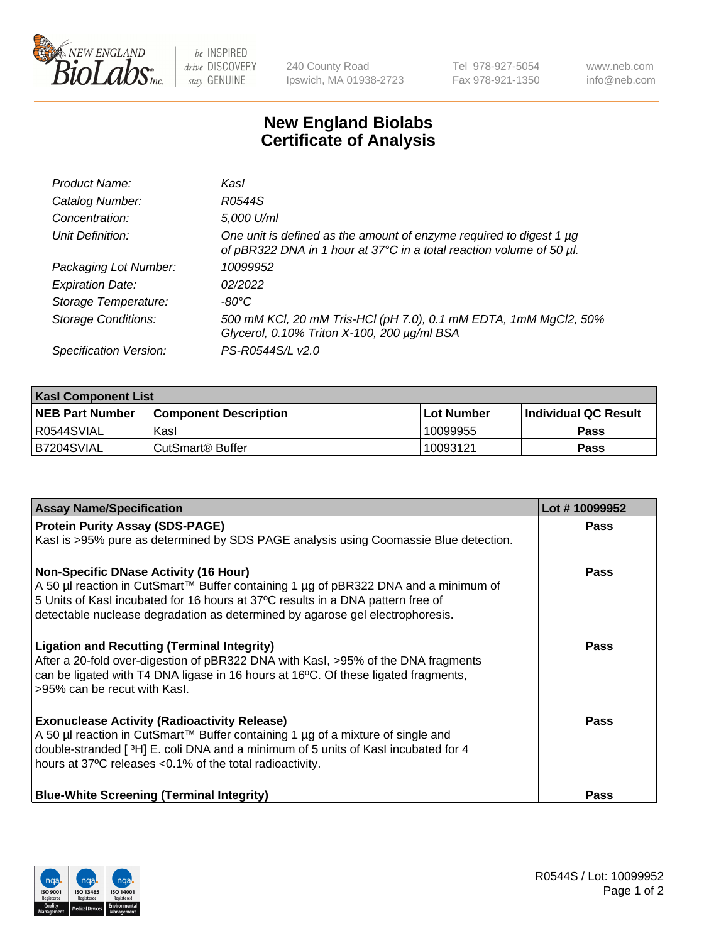

 $be$  INSPIRED drive DISCOVERY stay GENUINE

240 County Road Ipswich, MA 01938-2723 Tel 978-927-5054 Fax 978-921-1350 www.neb.com info@neb.com

## **New England Biolabs Certificate of Analysis**

| Product Name:              | Kasl                                                                                                                                        |
|----------------------------|---------------------------------------------------------------------------------------------------------------------------------------------|
| Catalog Number:            | R0544S                                                                                                                                      |
| Concentration:             | 5,000 U/ml                                                                                                                                  |
| Unit Definition:           | One unit is defined as the amount of enzyme required to digest 1 µg<br>of pBR322 DNA in 1 hour at 37°C in a total reaction volume of 50 µl. |
| Packaging Lot Number:      | 10099952                                                                                                                                    |
| <b>Expiration Date:</b>    | 02/2022                                                                                                                                     |
| Storage Temperature:       | -80°C                                                                                                                                       |
| <b>Storage Conditions:</b> | 500 mM KCl, 20 mM Tris-HCl (pH 7.0), 0.1 mM EDTA, 1mM MgCl2, 50%<br>Glycerol, 0.10% Triton X-100, 200 µg/ml BSA                             |
| Specification Version:     | PS-R0544S/L v2.0                                                                                                                            |

| <b>Kasl Component List</b> |                         |              |                             |  |  |
|----------------------------|-------------------------|--------------|-----------------------------|--|--|
| <b>NEB Part Number</b>     | l Component Description | l Lot Number | <b>Individual QC Result</b> |  |  |
| R0544SVIAL                 | Kasl                    | 10099955     | Pass                        |  |  |
| IB7204SVIAL                | l CutSmart® Buffer      | 10093121     | Pass                        |  |  |

| <b>Assay Name/Specification</b>                                                                                                                                                                                                                                                         | Lot #10099952 |
|-----------------------------------------------------------------------------------------------------------------------------------------------------------------------------------------------------------------------------------------------------------------------------------------|---------------|
| <b>Protein Purity Assay (SDS-PAGE)</b>                                                                                                                                                                                                                                                  | Pass          |
| Kasl is >95% pure as determined by SDS PAGE analysis using Coomassie Blue detection.                                                                                                                                                                                                    |               |
| <b>Non-Specific DNase Activity (16 Hour)</b>                                                                                                                                                                                                                                            | Pass          |
| A 50 µl reaction in CutSmart™ Buffer containing 1 µg of pBR322 DNA and a minimum of<br>5 Units of Kasl incubated for 16 hours at 37°C results in a DNA pattern free of                                                                                                                  |               |
| detectable nuclease degradation as determined by agarose gel electrophoresis.                                                                                                                                                                                                           |               |
| <b>Ligation and Recutting (Terminal Integrity)</b><br>After a 20-fold over-digestion of pBR322 DNA with KasI, >95% of the DNA fragments<br>can be ligated with T4 DNA ligase in 16 hours at 16°C. Of these ligated fragments,<br>>95% can be recut with Kasl.                           | Pass          |
| <b>Exonuclease Activity (Radioactivity Release)</b><br>A 50 µl reaction in CutSmart™ Buffer containing 1 µg of a mixture of single and<br>double-stranded [3H] E. coli DNA and a minimum of 5 units of Kasl incubated for 4<br>hours at 37°C releases <0.1% of the total radioactivity. | Pass          |
| <b>Blue-White Screening (Terminal Integrity)</b>                                                                                                                                                                                                                                        | Pass          |